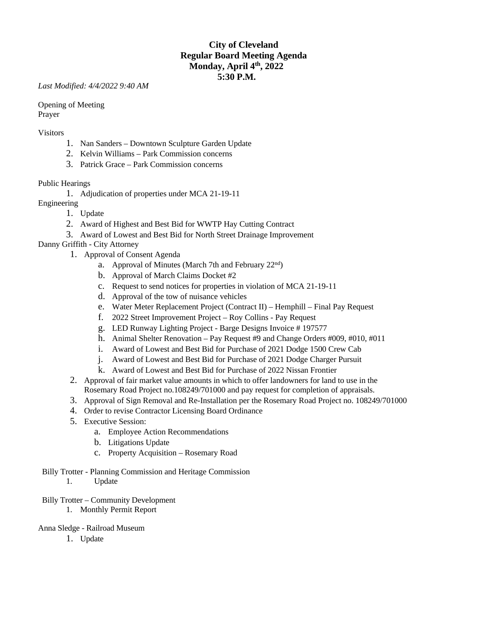# **City of Cleveland Regular Board Meeting Agenda Monday, April 4th, 2022 5:30 P.M.**

*Last Modified: 4/4/2022 9:40 AM*

Opening of Meeting Prayer

#### Visitors

- 1. Nan Sanders Downtown Sculpture Garden Update
- 2. Kelvin Williams Park Commission concerns
- 3. Patrick Grace Park Commission concerns

### Public Hearings

- 1. Adjudication of properties under MCA 21-19-11
- Engineering
	- 1. Update
	- 2. Award of Highest and Best Bid for WWTP Hay Cutting Contract
	- 3. Award of Lowest and Best Bid for North Street Drainage Improvement

### Danny Griffith - City Attorney

- 1. Approval of Consent Agenda
	- a. Approval of Minutes (March 7th and February  $22<sup>nd</sup>$ )
	- b. Approval of March Claims Docket #2
	- c. Request to send notices for properties in violation of MCA 21-19-11
	- d. Approval of the tow of nuisance vehicles
	- e. Water Meter Replacement Project (Contract II) Hemphill Final Pay Request
	- f. 2022 Street Improvement Project Roy Collins Pay Request
	- g. LED Runway Lighting Project Barge Designs Invoice # 197577
	- h. Animal Shelter Renovation Pay Request #9 and Change Orders #009, #010, #011
	- i. Award of Lowest and Best Bid for Purchase of 2021 Dodge 1500 Crew Cab
	- j. Award of Lowest and Best Bid for Purchase of 2021 Dodge Charger Pursuit
	- k. Award of Lowest and Best Bid for Purchase of 2022 Nissan Frontier
- 2. Approval of fair market value amounts in which to offer landowners for land to use in the Rosemary Road Project no.108249/701000 and pay request for completion of appraisals.
- 3. Approval of Sign Removal and Re-Installation per the Rosemary Road Project no. 108249/701000
- 4. Order to revise Contractor Licensing Board Ordinance
- 5. Executive Session:
	- a. Employee Action Recommendations
	- b. Litigations Update
	- c. Property Acquisition Rosemary Road
- Billy Trotter Planning Commission and Heritage Commission 1. Update
- Billy Trotter Community Development
	- 1. Monthly Permit Report
- Anna Sledge Railroad Museum
	- 1. Update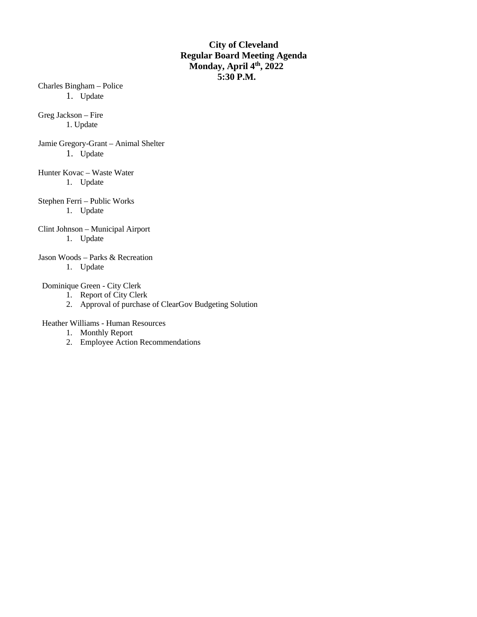# **City of Cleveland Regular Board Meeting Agenda Monday, April 4th, 2022 5:30 P.M.**

Charles Bingham – Police 1. Update

Greg Jackson – Fire 1. Update

Jamie Gregory-Grant – Animal Shelter 1. Update

Hunter Kovac – Waste Water 1. Update

Stephen Ferri – Public Works 1. Update

Clint Johnson – Municipal Airport 1. Update

Jason Woods – Parks & Recreation

1. Update

Dominique Green - City Clerk

- 1. Report of City Clerk
- 2. Approval of purchase of ClearGov Budgeting Solution

Heather Williams - Human Resources

- 1. Monthly Report
- 2. Employee Action Recommendations